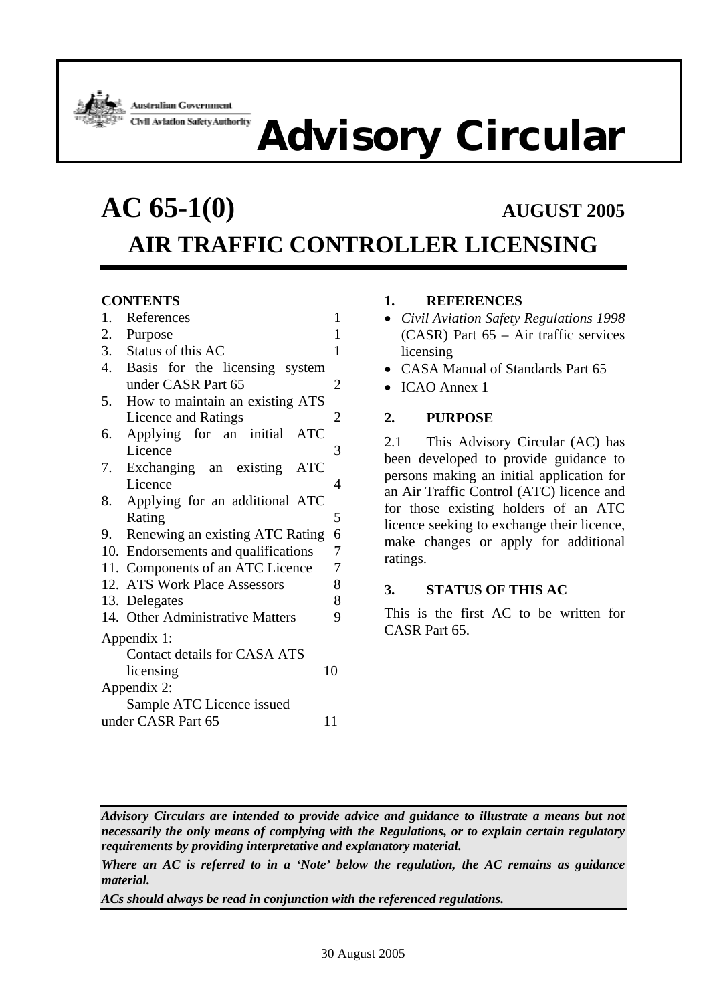

**Australian Government** Civil Aviation Safety Authority

# **Advisory Circular**

# **AC 65-1(0) AUGUST 2005 AIR TRAFFIC CONTROLLER LICENSING**

# **CONTENTS**

| 1.                       | References                                           | 1  |  |  |  |
|--------------------------|------------------------------------------------------|----|--|--|--|
| 2.                       | Purpose                                              | 1  |  |  |  |
| 3.                       | Status of this AC                                    | 1  |  |  |  |
| 4.                       | Basis for the licensing system                       |    |  |  |  |
|                          | under CASR Part 65                                   | 2  |  |  |  |
| 5.                       | How to maintain an existing ATS                      |    |  |  |  |
|                          | Licence and Ratings                                  | 2  |  |  |  |
| 6.                       | Applying for an initial<br><b>ATC</b>                |    |  |  |  |
|                          | Licence                                              | 3  |  |  |  |
|                          | 7. Exchanging an existing ATC                        |    |  |  |  |
|                          | Licence                                              | 4  |  |  |  |
| 8.                       | Applying for an additional ATC                       |    |  |  |  |
|                          | Rating                                               | 5  |  |  |  |
| 9.                       | Renewing an existing ATC Rating                      | 6  |  |  |  |
|                          | 7<br>10. Endorsements and qualifications             |    |  |  |  |
|                          | $\boldsymbol{7}$<br>11. Components of an ATC Licence |    |  |  |  |
|                          | 12. ATS Work Place Assessors                         | 8  |  |  |  |
|                          | 13. Delegates                                        | 8  |  |  |  |
|                          | 14. Other Administrative Matters                     | 9  |  |  |  |
| Appendix 1:              |                                                      |    |  |  |  |
|                          | <b>Contact details for CASA ATS</b>                  |    |  |  |  |
|                          | licensing                                            | 10 |  |  |  |
| Appendix 2:              |                                                      |    |  |  |  |
|                          | Sample ATC Licence issued                            |    |  |  |  |
| under CASR Part 65<br>11 |                                                      |    |  |  |  |

# **1. REFERENCES**

- *Civil Aviation Safety Regulations 1998* (CASR) Part 65 – Air traffic services licensing
- CASA Manual of Standards Part 65
- ICAO Annex 1

#### **2. PURPOSE**

2.1 This Advisory Circular (AC) has been developed to provide guidance to persons making an initial application for an Air Traffic Control (ATC) licence and for those existing holders of an ATC licence seeking to exchange their licence, make changes or apply for additional ratings.

#### **3. STATUS OF THIS AC**

This is the first AC to be written for CASR Part 65.

*Advisory Circulars are intended to provide advice and guidance to illustrate a means but not necessarily the only means of complying with the Regulations, or to explain certain regulatory requirements by providing interpretative and explanatory material.* 

*Where an AC is referred to in a 'Note' below the regulation, the AC remains as guidance material.* 

*ACs should always be read in conjunction with the referenced regulations.*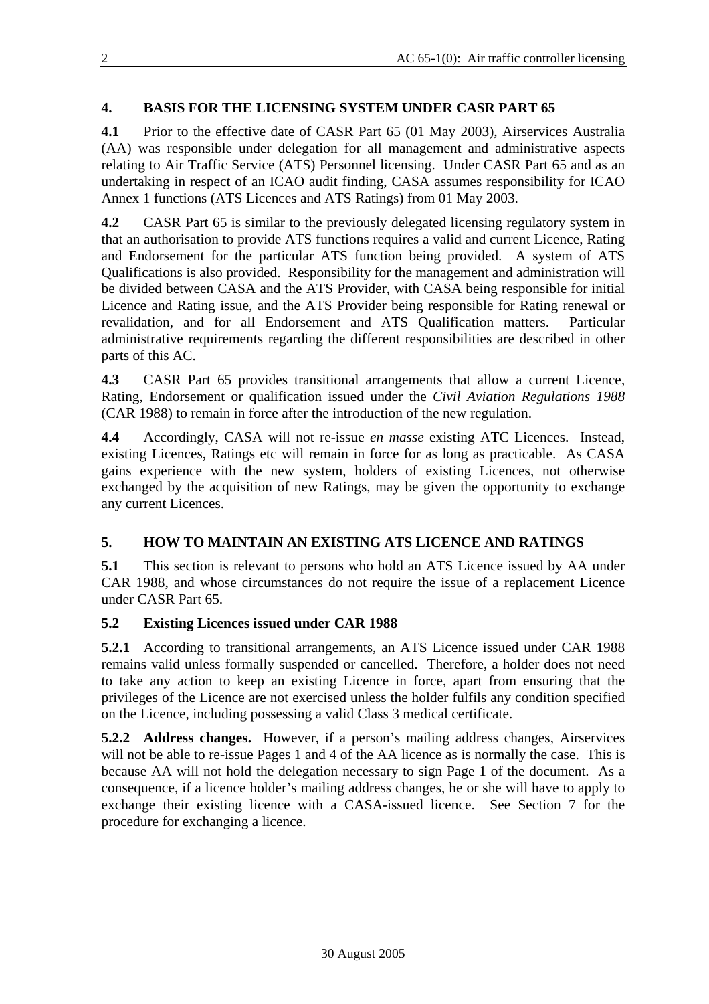# **4. BASIS FOR THE LICENSING SYSTEM UNDER CASR PART 65**

**4.1** Prior to the effective date of CASR Part 65 (01 May 2003), Airservices Australia (AA) was responsible under delegation for all management and administrative aspects relating to Air Traffic Service (ATS) Personnel licensing. Under CASR Part 65 and as an undertaking in respect of an ICAO audit finding, CASA assumes responsibility for ICAO Annex 1 functions (ATS Licences and ATS Ratings) from 01 May 2003.

**4.2** CASR Part 65 is similar to the previously delegated licensing regulatory system in that an authorisation to provide ATS functions requires a valid and current Licence, Rating and Endorsement for the particular ATS function being provided. A system of ATS Qualifications is also provided. Responsibility for the management and administration will be divided between CASA and the ATS Provider, with CASA being responsible for initial Licence and Rating issue, and the ATS Provider being responsible for Rating renewal or revalidation, and for all Endorsement and ATS Qualification matters. Particular administrative requirements regarding the different responsibilities are described in other parts of this AC.

**4.3** CASR Part 65 provides transitional arrangements that allow a current Licence, Rating, Endorsement or qualification issued under the *Civil Aviation Regulations 1988* (CAR 1988) to remain in force after the introduction of the new regulation.

**4.4** Accordingly, CASA will not re-issue *en masse* existing ATC Licences. Instead, existing Licences, Ratings etc will remain in force for as long as practicable. As CASA gains experience with the new system, holders of existing Licences, not otherwise exchanged by the acquisition of new Ratings, may be given the opportunity to exchange any current Licences.

# **5. HOW TO MAINTAIN AN EXISTING ATS LICENCE AND RATINGS**

**5.1** This section is relevant to persons who hold an ATS Licence issued by AA under CAR 1988, and whose circumstances do not require the issue of a replacement Licence under CASR Part 65.

# **5.2 Existing Licences issued under CAR 1988**

**5.2.1** According to transitional arrangements, an ATS Licence issued under CAR 1988 remains valid unless formally suspended or cancelled. Therefore, a holder does not need to take any action to keep an existing Licence in force, apart from ensuring that the privileges of the Licence are not exercised unless the holder fulfils any condition specified on the Licence, including possessing a valid Class 3 medical certificate.

**5.2.2 Address changes.** However, if a person's mailing address changes, Airservices will not be able to re-issue Pages 1 and 4 of the AA licence as is normally the case. This is because AA will not hold the delegation necessary to sign Page 1 of the document. As a consequence, if a licence holder's mailing address changes, he or she will have to apply to exchange their existing licence with a CASA-issued licence. See Section 7 for the procedure for exchanging a licence.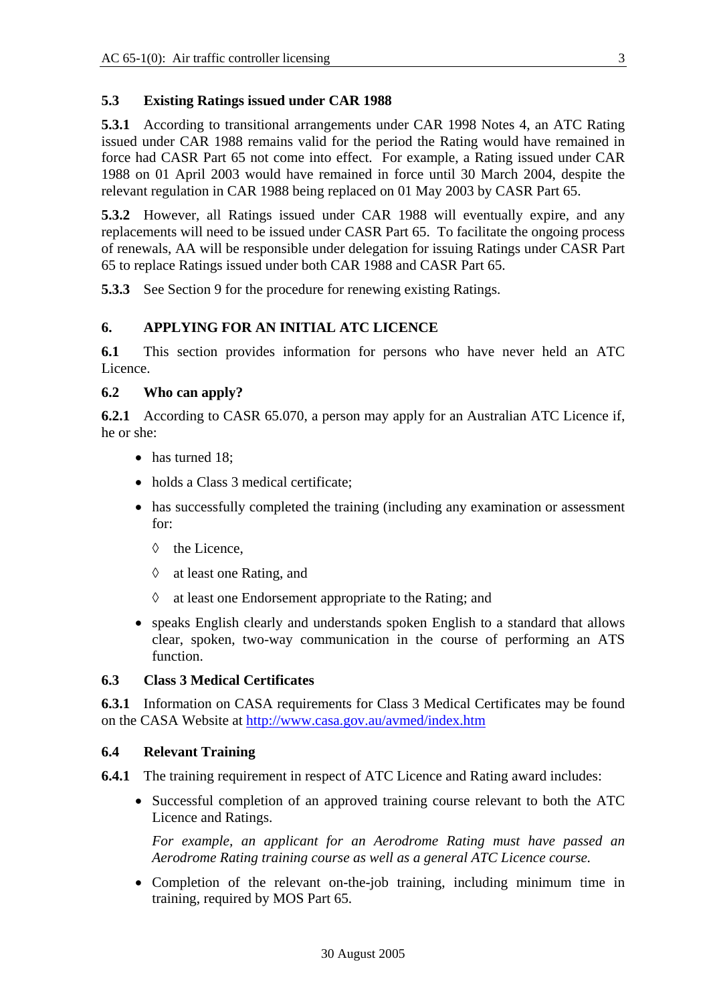#### **5.3 Existing Ratings issued under CAR 1988**

**5.3.1** According to transitional arrangements under CAR 1998 Notes 4, an ATC Rating issued under CAR 1988 remains valid for the period the Rating would have remained in force had CASR Part 65 not come into effect. For example, a Rating issued under CAR 1988 on 01 April 2003 would have remained in force until 30 March 2004, despite the relevant regulation in CAR 1988 being replaced on 01 May 2003 by CASR Part 65.

**5.3.2** However, all Ratings issued under CAR 1988 will eventually expire, and any replacements will need to be issued under CASR Part 65. To facilitate the ongoing process of renewals, AA will be responsible under delegation for issuing Ratings under CASR Part 65 to replace Ratings issued under both CAR 1988 and CASR Part 65.

**5.3.3** See Section 9 for the procedure for renewing existing Ratings.

#### **6. APPLYING FOR AN INITIAL ATC LICENCE**

**6.1** This section provides information for persons who have never held an ATC Licence.

#### **6.2 Who can apply?**

**6.2.1** According to CASR 65.070, a person may apply for an Australian ATC Licence if, he or she:

- has turned 18;
- holds a Class 3 medical certificate:
- has successfully completed the training (including any examination or assessment for:
	- ◊ the Licence,
	- ◊ at least one Rating, and
	- ◊ at least one Endorsement appropriate to the Rating; and
- speaks English clearly and understands spoken English to a standard that allows clear, spoken, two-way communication in the course of performing an ATS function.

#### **6.3 Class 3 Medical Certificates**

**6.3.1** Information on CASA requirements for Class 3 Medical Certificates may be found on the CASA Website at<http://www.casa.gov.au/avmed/index.htm>

#### **6.4 Relevant Training**

- **6.4.1** The training requirement in respect of ATC Licence and Rating award includes:
	- Successful completion of an approved training course relevant to both the ATC Licence and Ratings.

*For example, an applicant for an Aerodrome Rating must have passed an Aerodrome Rating training course as well as a general ATC Licence course.* 

• Completion of the relevant on-the-job training, including minimum time in training, required by MOS Part 65.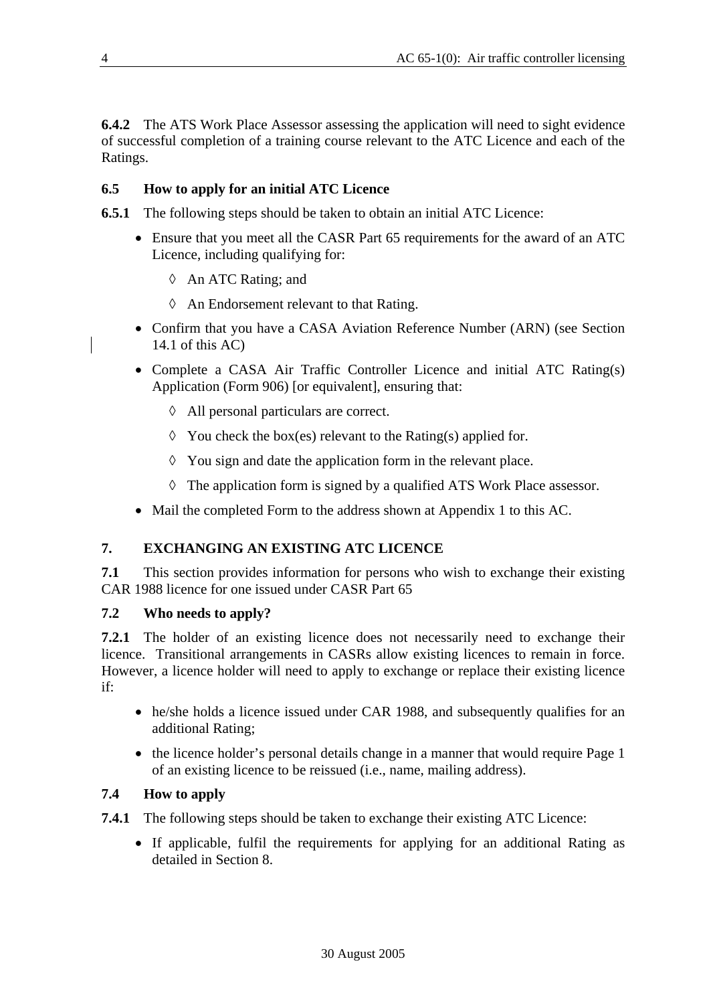**6.4.2** The ATS Work Place Assessor assessing the application will need to sight evidence of successful completion of a training course relevant to the ATC Licence and each of the Ratings.

#### **6.5 How to apply for an initial ATC Licence**

**6.5.1** The following steps should be taken to obtain an initial ATC Licence:

- Ensure that you meet all the CASR Part 65 requirements for the award of an ATC Licence, including qualifying for:
	- ◊ An ATC Rating; and
	- ◊ An Endorsement relevant to that Rating.
- Confirm that you have a CASA Aviation Reference Number (ARN) (see Section 14.1 of this AC)
- Complete a CASA Air Traffic Controller Licence and initial ATC Rating(s) Application (Form 906) [or equivalent], ensuring that:
	- ◊ All personal particulars are correct.
	- $\Diamond$  You check the box(es) relevant to the Rating(s) applied for.
	- ◊ You sign and date the application form in the relevant place.
	- ◊ The application form is signed by a qualified ATS Work Place assessor.
- Mail the completed Form to the address shown at Appendix 1 to this AC.

#### **7. EXCHANGING AN EXISTING ATC LICENCE**

**7.1** This section provides information for persons who wish to exchange their existing CAR 1988 licence for one issued under CASR Part 65

#### **7.2 Who needs to apply?**

**7.2.1** The holder of an existing licence does not necessarily need to exchange their licence. Transitional arrangements in CASRs allow existing licences to remain in force. However, a licence holder will need to apply to exchange or replace their existing licence if:

- he/she holds a licence issued under CAR 1988, and subsequently qualifies for an additional Rating;
- the licence holder's personal details change in a manner that would require Page 1 of an existing licence to be reissued (i.e., name, mailing address).

# **7.4 How to apply**

**7.4.1** The following steps should be taken to exchange their existing ATC Licence:

• If applicable, fulfil the requirements for applying for an additional Rating as detailed in Section 8.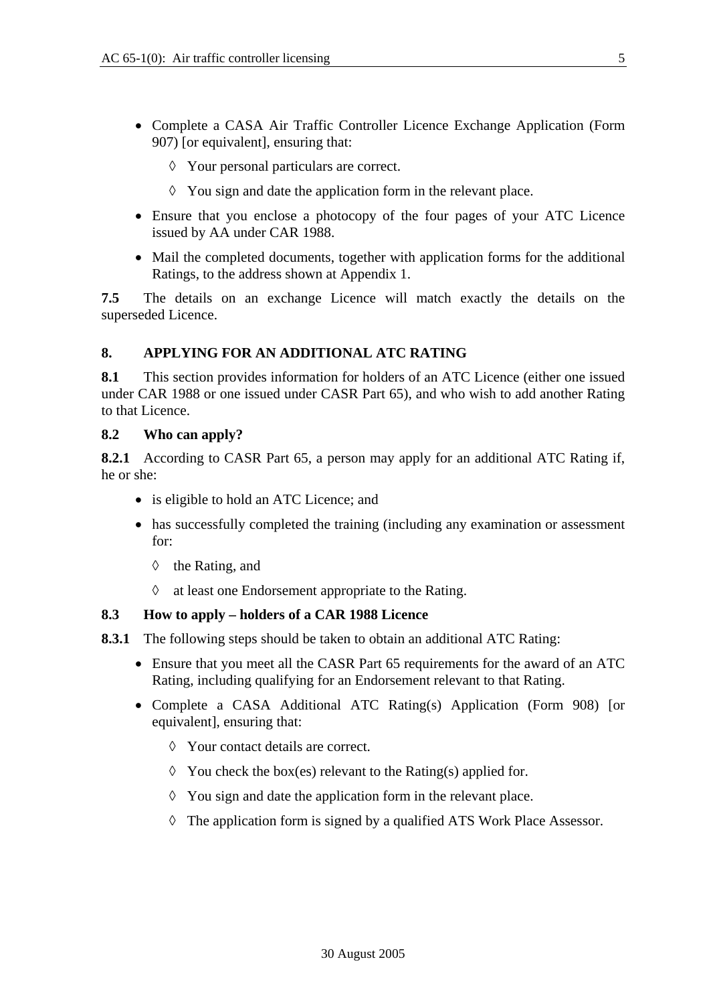- Complete a CASA Air Traffic Controller Licence Exchange Application (Form 907) [or equivalent], ensuring that:
	- ◊ Your personal particulars are correct.
	- ◊ You sign and date the application form in the relevant place.
- Ensure that you enclose a photocopy of the four pages of your ATC Licence issued by AA under CAR 1988.
- Mail the completed documents, together with application forms for the additional Ratings, to the address shown at Appendix 1.

**7.5** The details on an exchange Licence will match exactly the details on the superseded Licence.

#### **8. APPLYING FOR AN ADDITIONAL ATC RATING**

**8.1** This section provides information for holders of an ATC Licence (either one issued under CAR 1988 or one issued under CASR Part 65), and who wish to add another Rating to that Licence.

#### **8.2 Who can apply?**

**8.2.1** According to CASR Part 65, a person may apply for an additional ATC Rating if, he or she:

- is eligible to hold an ATC Licence; and
- has successfully completed the training (including any examination or assessment for:
	- ◊ the Rating, and
	- ◊ at least one Endorsement appropriate to the Rating.

#### **8.3 How to apply – holders of a CAR 1988 Licence**

- **8.3.1** The following steps should be taken to obtain an additional ATC Rating:
	- Ensure that you meet all the CASR Part 65 requirements for the award of an ATC Rating, including qualifying for an Endorsement relevant to that Rating.
	- Complete a CASA Additional ATC Rating(s) Application (Form 908) [or equivalent], ensuring that:
		- ◊ Your contact details are correct.
		- $\Diamond$  You check the box(es) relevant to the Rating(s) applied for.
		- ◊ You sign and date the application form in the relevant place.
		- ◊ The application form is signed by a qualified ATS Work Place Assessor.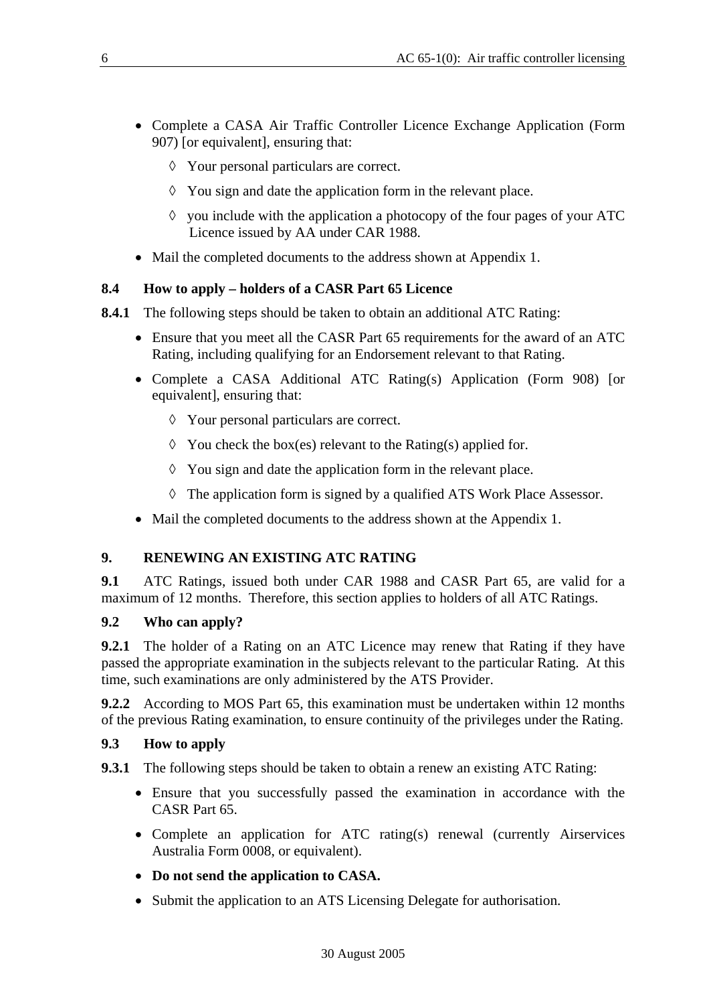- Complete a CASA Air Traffic Controller Licence Exchange Application (Form 907) [or equivalent], ensuring that:
	- ◊ Your personal particulars are correct.
	- ◊ You sign and date the application form in the relevant place.
	- $\Diamond$  you include with the application a photocopy of the four pages of your ATC Licence issued by AA under CAR 1988.
- Mail the completed documents to the address shown at Appendix 1.

# **8.4 How to apply – holders of a CASR Part 65 Licence**

- **8.4.1** The following steps should be taken to obtain an additional ATC Rating:
	- Ensure that you meet all the CASR Part 65 requirements for the award of an ATC Rating, including qualifying for an Endorsement relevant to that Rating.
	- Complete a CASA Additional ATC Rating(s) Application (Form 908) [or equivalent], ensuring that:
		- ◊ Your personal particulars are correct.
		- $\Diamond$  You check the box(es) relevant to the Rating(s) applied for.
		- ◊ You sign and date the application form in the relevant place.
		- ◊ The application form is signed by a qualified ATS Work Place Assessor.
	- Mail the completed documents to the address shown at the Appendix 1.

# **9. RENEWING AN EXISTING ATC RATING**

**9.1** ATC Ratings, issued both under CAR 1988 and CASR Part 65, are valid for a maximum of 12 months. Therefore, this section applies to holders of all ATC Ratings.

#### **9.2 Who can apply?**

**9.2.1** The holder of a Rating on an ATC Licence may renew that Rating if they have passed the appropriate examination in the subjects relevant to the particular Rating. At this time, such examinations are only administered by the ATS Provider.

**9.2.2** According to MOS Part 65, this examination must be undertaken within 12 months of the previous Rating examination, to ensure continuity of the privileges under the Rating.

#### **9.3 How to apply**

**9.3.1** The following steps should be taken to obtain a renew an existing ATC Rating:

- Ensure that you successfully passed the examination in accordance with the CASR Part 65.
- Complete an application for ATC rating(s) renewal (currently Airservices Australia Form 0008, or equivalent).
- **Do not send the application to CASA.**
- Submit the application to an ATS Licensing Delegate for authorisation.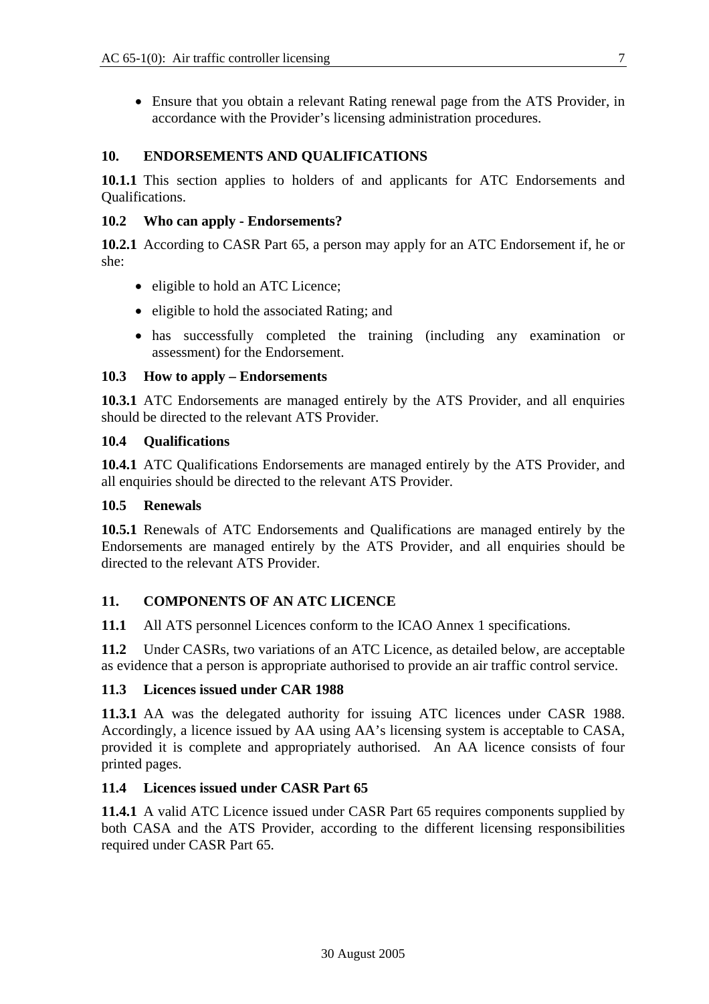• Ensure that you obtain a relevant Rating renewal page from the ATS Provider, in accordance with the Provider's licensing administration procedures.

#### **10. ENDORSEMENTS AND QUALIFICATIONS**

**10.1.1** This section applies to holders of and applicants for ATC Endorsements and Qualifications.

#### **10.2 Who can apply - Endorsements?**

**10.2.1** According to CASR Part 65, a person may apply for an ATC Endorsement if, he or she:

- eligible to hold an ATC Licence;
- eligible to hold the associated Rating; and
- has successfully completed the training (including any examination or assessment) for the Endorsement.

#### **10.3 How to apply – Endorsements**

**10.3.1** ATC Endorsements are managed entirely by the ATS Provider, and all enquiries should be directed to the relevant ATS Provider.

#### **10.4 Qualifications**

**10.4.1** ATC Qualifications Endorsements are managed entirely by the ATS Provider, and all enquiries should be directed to the relevant ATS Provider.

#### **10.5 Renewals**

**10.5.1** Renewals of ATC Endorsements and Qualifications are managed entirely by the Endorsements are managed entirely by the ATS Provider, and all enquiries should be directed to the relevant ATS Provider.

#### **11. COMPONENTS OF AN ATC LICENCE**

**11.1** All ATS personnel Licences conform to the ICAO Annex 1 specifications.

**11.2** Under CASRs, two variations of an ATC Licence, as detailed below, are acceptable as evidence that a person is appropriate authorised to provide an air traffic control service.

#### **11.3 Licences issued under CAR 1988**

**11.3.1** AA was the delegated authority for issuing ATC licences under CASR 1988. Accordingly, a licence issued by AA using AA's licensing system is acceptable to CASA, provided it is complete and appropriately authorised. An AA licence consists of four printed pages.

#### **11.4 Licences issued under CASR Part 65**

**11.4.1** A valid ATC Licence issued under CASR Part 65 requires components supplied by both CASA and the ATS Provider, according to the different licensing responsibilities required under CASR Part 65.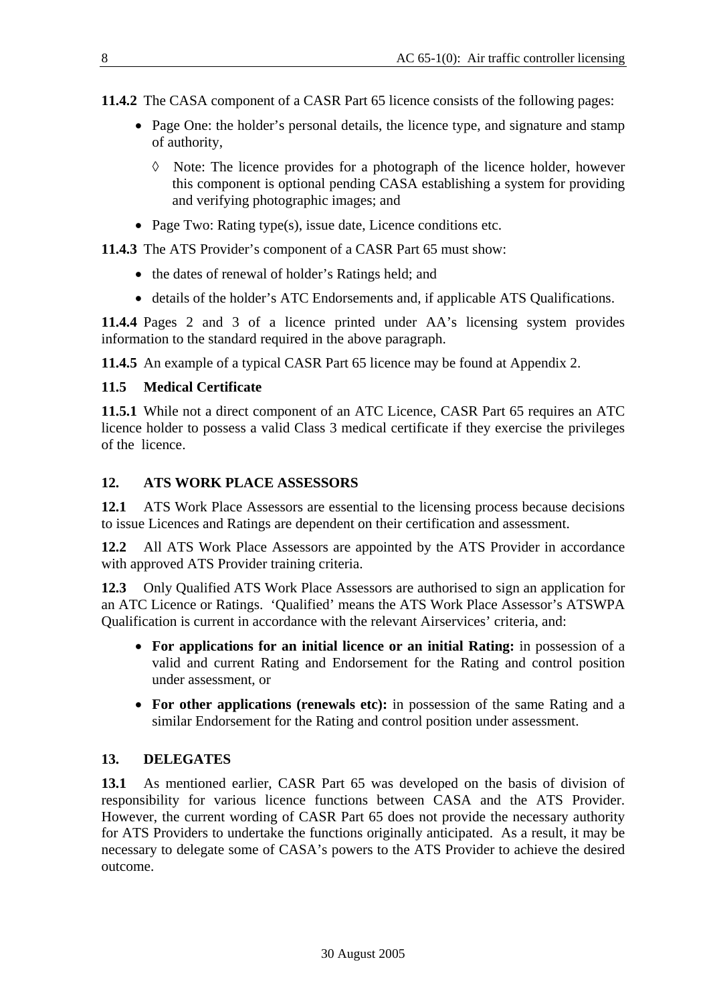- **11.4.2** The CASA component of a CASR Part 65 licence consists of the following pages:
	- Page One: the holder's personal details, the licence type, and signature and stamp of authority,
		- ◊ Note: The licence provides for a photograph of the licence holder, however this component is optional pending CASA establishing a system for providing and verifying photographic images; and
	- Page Two: Rating type(s), issue date, Licence conditions etc.

**11.4.3** The ATS Provider's component of a CASR Part 65 must show:

- the dates of renewal of holder's Ratings held; and
- details of the holder's ATC Endorsements and, if applicable ATS Qualifications.

**11.4.4** Pages 2 and 3 of a licence printed under AA's licensing system provides information to the standard required in the above paragraph.

**11.4.5** An example of a typical CASR Part 65 licence may be found at Appendix 2.

#### **11.5 Medical Certificate**

**11.5.1** While not a direct component of an ATC Licence, CASR Part 65 requires an ATC licence holder to possess a valid Class 3 medical certificate if they exercise the privileges of the licence.

# **12. ATS WORK PLACE ASSESSORS**

**12.1** ATS Work Place Assessors are essential to the licensing process because decisions to issue Licences and Ratings are dependent on their certification and assessment.

**12.2** All ATS Work Place Assessors are appointed by the ATS Provider in accordance with approved ATS Provider training criteria.

**12.3** Only Qualified ATS Work Place Assessors are authorised to sign an application for an ATC Licence or Ratings. 'Qualified' means the ATS Work Place Assessor's ATSWPA Qualification is current in accordance with the relevant Airservices' criteria, and:

- **For applications for an initial licence or an initial Rating:** in possession of a valid and current Rating and Endorsement for the Rating and control position under assessment, or
- **For other applications (renewals etc):** in possession of the same Rating and a similar Endorsement for the Rating and control position under assessment.

# **13. DELEGATES**

**13.1** As mentioned earlier, CASR Part 65 was developed on the basis of division of responsibility for various licence functions between CASA and the ATS Provider. However, the current wording of CASR Part 65 does not provide the necessary authority for ATS Providers to undertake the functions originally anticipated. As a result, it may be necessary to delegate some of CASA's powers to the ATS Provider to achieve the desired outcome.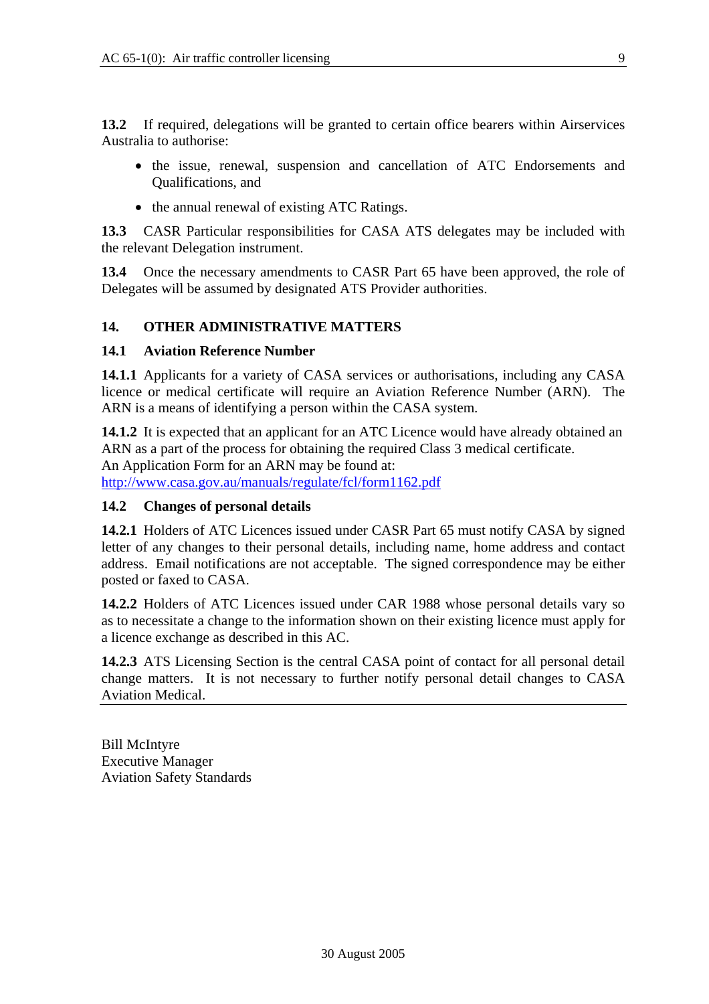**13.2** If required, delegations will be granted to certain office bearers within Airservices Australia to authorise:

- the issue, renewal, suspension and cancellation of ATC Endorsements and Qualifications, and
- the annual renewal of existing ATC Ratings.

**13.3** CASR Particular responsibilities for CASA ATS delegates may be included with the relevant Delegation instrument.

**13.4** Once the necessary amendments to CASR Part 65 have been approved, the role of Delegates will be assumed by designated ATS Provider authorities.

#### **14. OTHER ADMINISTRATIVE MATTERS**

#### **14.1 Aviation Reference Number**

**14.1.1** Applicants for a variety of CASA services or authorisations, including any CASA licence or medical certificate will require an Aviation Reference Number (ARN). The ARN is a means of identifying a person within the CASA system.

**14.1.2** It is expected that an applicant for an ATC Licence would have already obtained an ARN as a part of the process for obtaining the required Class 3 medical certificate. An Application Form for an ARN may be found at: <http://www.casa.gov.au/manuals/regulate/fcl/form1162.pdf>

#### **14.2 Changes of personal details**

**14.2.1** Holders of ATC Licences issued under CASR Part 65 must notify CASA by signed letter of any changes to their personal details, including name, home address and contact address. Email notifications are not acceptable. The signed correspondence may be either posted or faxed to CASA.

**14.2.2** Holders of ATC Licences issued under CAR 1988 whose personal details vary so as to necessitate a change to the information shown on their existing licence must apply for a licence exchange as described in this AC.

**14.2.3** ATS Licensing Section is the central CASA point of contact for all personal detail change matters. It is not necessary to further notify personal detail changes to CASA Aviation Medical.

Bill McIntyre Executive Manager Aviation Safety Standards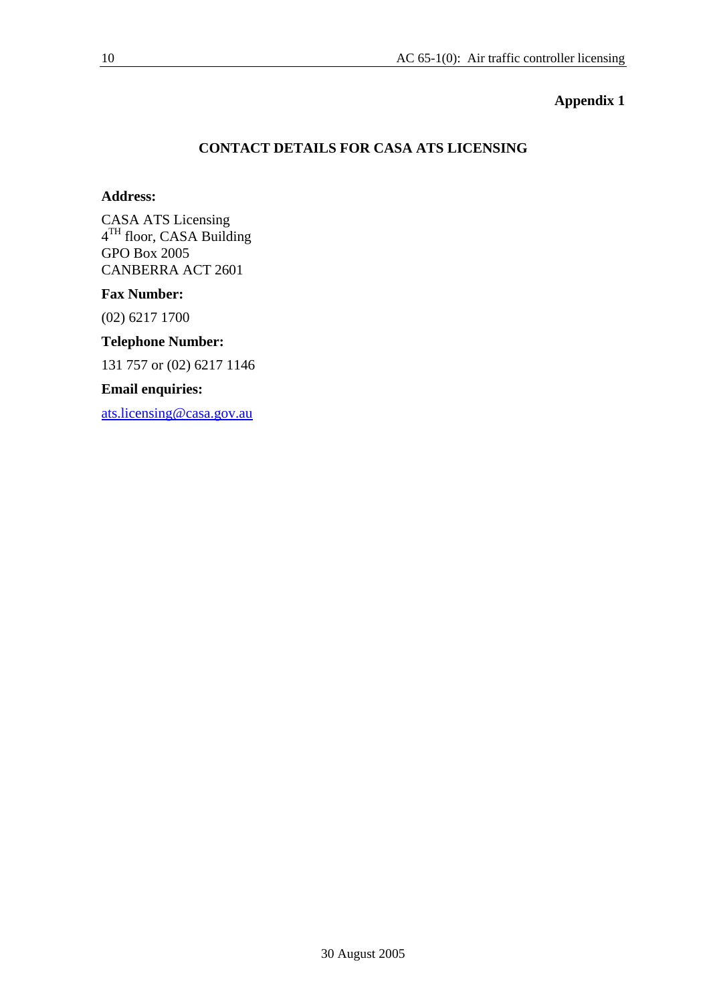#### **Appendix 1**

#### **CONTACT DETAILS FOR CASA ATS LICENSING**

#### **Address:**

CASA ATS Licensing 4<sup>TH</sup> floor, CASA Building GPO Box 2005 CANBERRA ACT 2601

#### **Fax Number:**

(02) 6217 1700

# **Telephone Number:**

131 757 or (02) 6217 1146

#### **Email enquiries:**

[ats.licensing@casa.gov.au](mailto:ats.licensing@casa.gov.au)